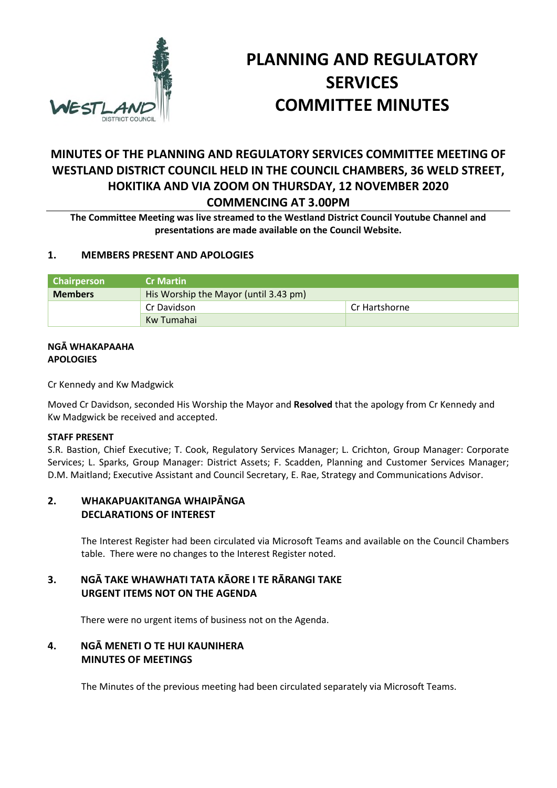

# **PLANNING AND REGULATORY SERVICES COMMITTEE MINUTES**

## **MINUTES OF THE PLANNING AND REGULATORY SERVICES COMMITTEE MEETING OF WESTLAND DISTRICT COUNCIL HELD IN THE COUNCIL CHAMBERS, 36 WELD STREET, HOKITIKA AND VIA ZOOM ON THURSDAY, 12 NOVEMBER 2020**

## **COMMENCING AT 3.00PM**

**The Committee Meeting was live streamed to the Westland District Council Youtube Channel and presentations are made available on the Council Website.** 

## **1. MEMBERS PRESENT AND APOLOGIES**

| <b>Chairperson</b> | <b>Cr Martin</b>                      |               |  |
|--------------------|---------------------------------------|---------------|--|
| <b>Members</b>     | His Worship the Mayor (until 3.43 pm) |               |  |
|                    | Cr Davidson                           | Cr Hartshorne |  |
|                    | Kw Tumahai                            |               |  |

#### **NGĀ WHAKAPAAHA APOLOGIES**

Cr Kennedy and Kw Madgwick

Moved Cr Davidson, seconded His Worship the Mayor and **Resolved** that the apology from Cr Kennedy and Kw Madgwick be received and accepted.

## **STAFF PRESENT**

S.R. Bastion, Chief Executive; T. Cook, Regulatory Services Manager; L. Crichton, Group Manager: Corporate Services; L. Sparks, Group Manager: District Assets; F. Scadden, Planning and Customer Services Manager; D.M. Maitland; Executive Assistant and Council Secretary, E. Rae, Strategy and Communications Advisor.

## **2. WHAKAPUAKITANGA WHAIPĀNGA DECLARATIONS OF INTEREST**

The Interest Register had been circulated via Microsoft Teams and available on the Council Chambers table. There were no changes to the Interest Register noted.

## **3. NGĀ TAKE WHAWHATI TATA KĀORE I TE RĀRANGI TAKE URGENT ITEMS NOT ON THE AGENDA**

There were no urgent items of business not on the Agenda.

## **4. NGĀ MENETI O TE HUI KAUNIHERA MINUTES OF MEETINGS**

The Minutes of the previous meeting had been circulated separately via Microsoft Teams.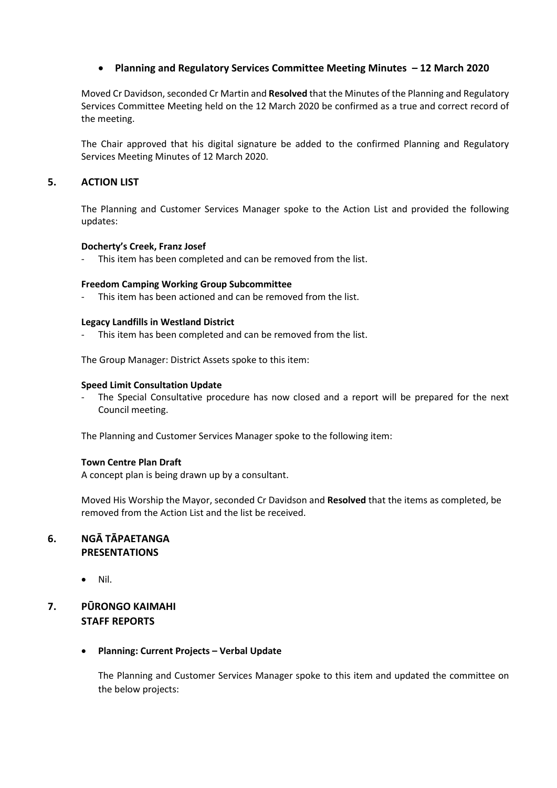## **Planning and Regulatory Services Committee Meeting Minutes – 12 March 2020**

Moved Cr Davidson, seconded Cr Martin and **Resolved** that the Minutes of the Planning and Regulatory Services Committee Meeting held on the 12 March 2020 be confirmed as a true and correct record of the meeting.

The Chair approved that his digital signature be added to the confirmed Planning and Regulatory Services Meeting Minutes of 12 March 2020.

## **5. ACTION LIST**

The Planning and Customer Services Manager spoke to the Action List and provided the following updates:

#### **Docherty's Creek, Franz Josef**

This item has been completed and can be removed from the list.

#### **Freedom Camping Working Group Subcommittee**

This item has been actioned and can be removed from the list.

#### **Legacy Landfills in Westland District**

This item has been completed and can be removed from the list.

The Group Manager: District Assets spoke to this item:

#### **Speed Limit Consultation Update**

The Special Consultative procedure has now closed and a report will be prepared for the next Council meeting.

The Planning and Customer Services Manager spoke to the following item:

#### **Town Centre Plan Draft**

A concept plan is being drawn up by a consultant.

Moved His Worship the Mayor, seconded Cr Davidson and **Resolved** that the items as completed, be removed from the Action List and the list be received.

## **6. NGĀ TĀPAETANGA PRESENTATIONS**

 $\bullet$  Nil.

## **7. PŪRONGO KAIMAHI STAFF REPORTS**

#### **Planning: Current Projects – Verbal Update**

The Planning and Customer Services Manager spoke to this item and updated the committee on the below projects: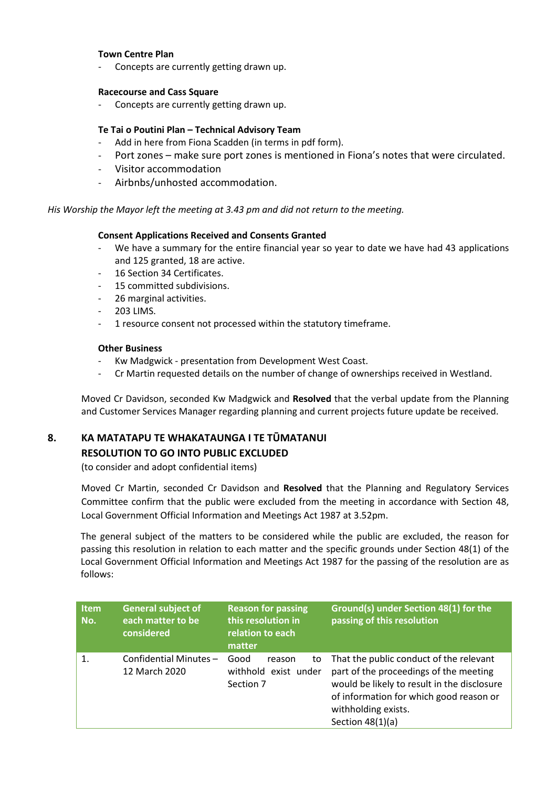#### **Town Centre Plan**

Concepts are currently getting drawn up.

#### **Racecourse and Cass Square**

Concepts are currently getting drawn up.

#### **Te Tai o Poutini Plan – Technical Advisory Team**

- Add in here from Fiona Scadden (in terms in pdf form).
- Port zones make sure port zones is mentioned in Fiona's notes that were circulated.
- Visitor accommodation
- Airbnbs/unhosted accommodation.

*His Worship the Mayor left the meeting at 3.43 pm and did not return to the meeting.* 

#### **Consent Applications Received and Consents Granted**

- We have a summary for the entire financial year so year to date we have had 43 applications and 125 granted, 18 are active.
- 16 Section 34 Certificates.
- 15 committed subdivisions.
- 26 marginal activities.
- 203 LIMS.
- 1 resource consent not processed within the statutory timeframe.

#### **Other Business**

- Kw Madgwick presentation from Development West Coast.
- Cr Martin requested details on the number of change of ownerships received in Westland.

Moved Cr Davidson, seconded Kw Madgwick and **Resolved** that the verbal update from the Planning and Customer Services Manager regarding planning and current projects future update be received.

## **8. KA MATATAPU TE WHAKATAUNGA I TE TŪMATANUI RESOLUTION TO GO INTO PUBLIC EXCLUDED**

(to consider and adopt confidential items)

Moved Cr Martin, seconded Cr Davidson and **Resolved** that the Planning and Regulatory Services Committee confirm that the public were excluded from the meeting in accordance with Section 48, Local Government Official Information and Meetings Act 1987 at 3.52pm.

The general subject of the matters to be considered while the public are excluded, the reason for passing this resolution in relation to each matter and the specific grounds under Section 48(1) of the Local Government Official Information and Meetings Act 1987 for the passing of the resolution are as follows:

| <b>Item</b><br>No. | <b>General subject of</b><br>each matter to be<br>considered | <b>Reason for passing</b><br>this resolution in<br>relation to each<br>matter | Ground(s) under Section 48(1) for the<br>passing of this resolution                                                                                                                                                      |
|--------------------|--------------------------------------------------------------|-------------------------------------------------------------------------------|--------------------------------------------------------------------------------------------------------------------------------------------------------------------------------------------------------------------------|
| $\mathbf{1}$ .     | Confidential Minutes-<br>12 March 2020                       | Good<br>reason<br>to<br>withhold exist under<br>Section 7                     | That the public conduct of the relevant<br>part of the proceedings of the meeting<br>would be likely to result in the disclosure<br>of information for which good reason or<br>withholding exists.<br>Section $48(1)(a)$ |